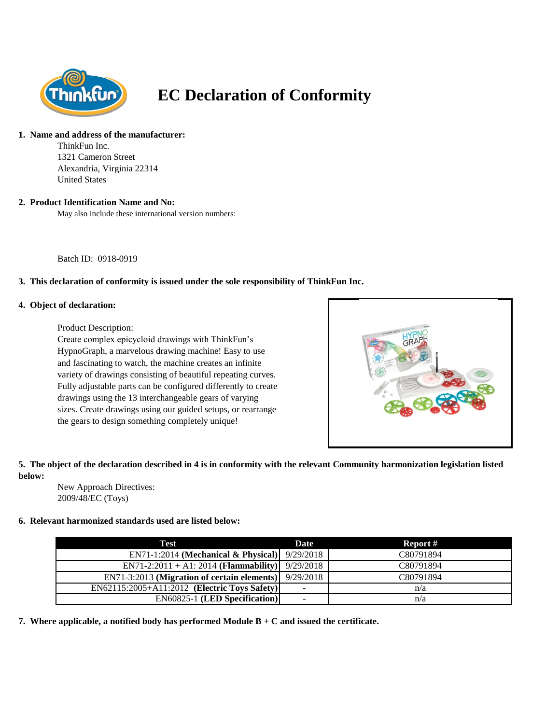

# **EC Declaration of Conformity**

## **1. Name and address of the manufacturer:**

ThinkFun Inc. 1321 Cameron Street Alexandria, Virginia 22314 United States

## **2. Product Identification Name and No:**

May also include these international version numbers:

Batch ID: 0918-0919

# **3. This declaration of conformity is issued under the sole responsibility of ThinkFun Inc.**

#### **4. Object of declaration:**

Product Description:

Create complex epicycloid drawings with ThinkFun's HypnoGraph, a marvelous drawing machine! Easy to use and fascinating to watch, the machine creates an infinite variety of drawings consisting of beautiful repeating curves. Fully adjustable parts can be configured differently to create drawings using the 13 interchangeable gears of varying sizes. Create drawings using our guided setups, or rearrange the gears to design something completely unique!



# **5. The object of the declaration described in 4 is in conformity with the relevant Community harmonization legislation listed below:**

New Approach Directives: 2009/48/EC (Toys)

# **6. Relevant harmonized standards used are listed below:**

| Test                                          | Date                     | Report #  |
|-----------------------------------------------|--------------------------|-----------|
| EN71-1:2014 (Mechanical & Physical) 9/29/2018 |                          | C80791894 |
| $EN71-2:2011 + A1:2014 (Flammablity)$         | 9/29/2018                | C80791894 |
| EN71-3:2013 (Migration of certain elements)   | 9/29/2018                | C80791894 |
| EN62115:2005+A11:2012 (Electric Toys Safety)  | -                        | n/a       |
| <b>EN60825-1 (LED Specification)</b>          | $\overline{\phantom{0}}$ | n/a       |

**7. Where applicable, a notified body has performed Module B + C and issued the certificate.**